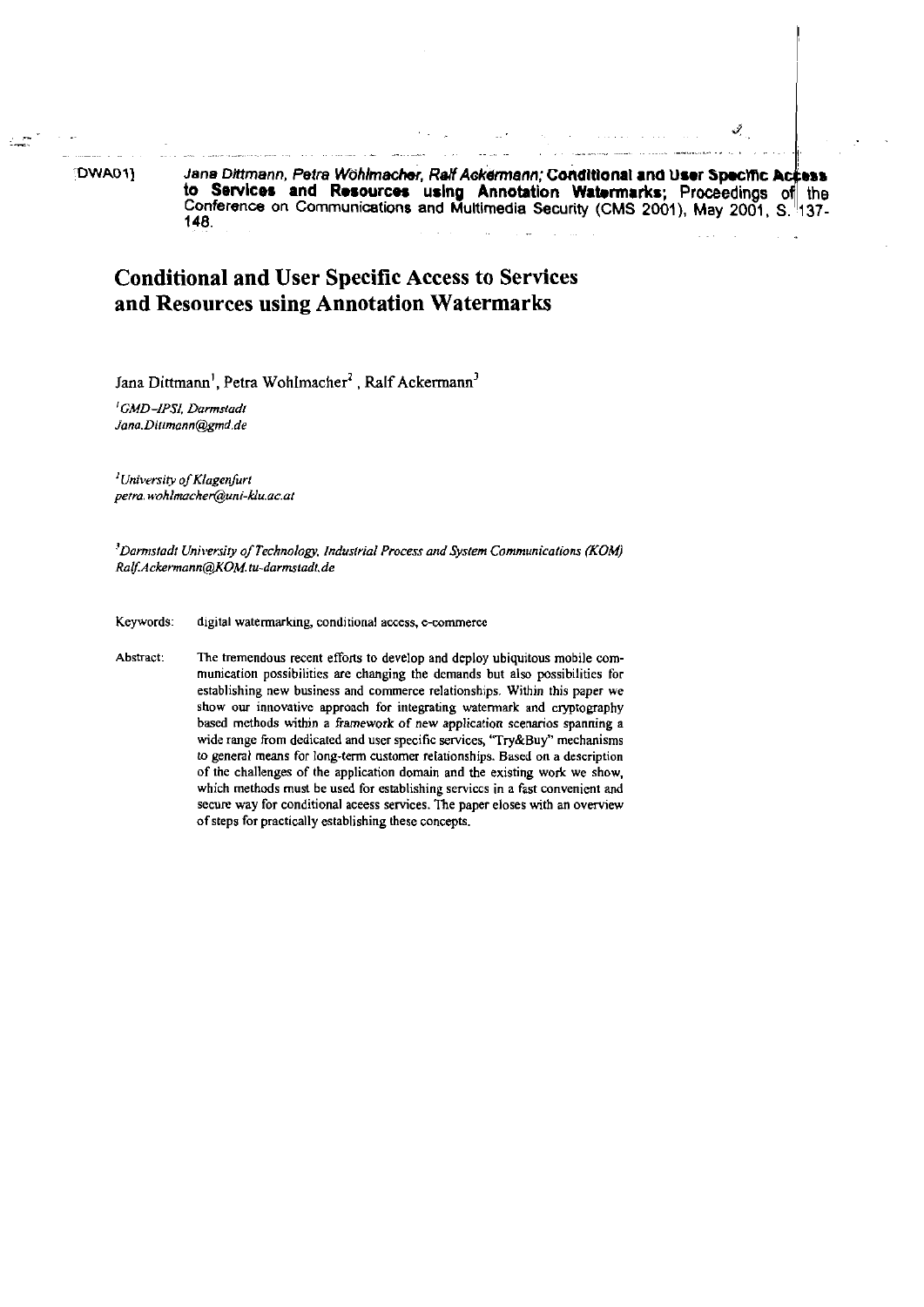. Lot a series of the series of the series of the series of the series of the series of the series of the series of the series of the series of the series of the series of the series of the series of the series of the seri 'DWA01] Jana Dittmann, Petra Wöhlmacher, Ralf Ackermann; Conditional and User Specific Actess to Services and Resources using Annotation Watermarks; Proceedings of the **148. Conference on Communicetions and Multimedia Security (CMS 2001), May 2001,** 

# **Conditional and User Specific Access to Services and Resources using Annotation Watermarks**

Jana Dittmann<sup>1</sup>, Petra Wohlmacher<sup>2</sup>, Ralf Ackermann<sup>3</sup>

<sup>1</sup>GMD-IPSI, Darmstadt Jana.Dittmann@gmd.de

<sup>2</sup>University of Klagenfurt petra.wohlmacher@uni-klu.ac.at

<sup>3</sup> Darmstadt University of Technology, Industrial Process and System Communications (KOM)  $Ralf Ackermann@KOM.tu-darmstadt.de$ 

Keywords: digital watermarking, conditional access, e-commerce

Abstract: The tremendous recent efforts to develop and deploy ubiquitous mobile communication possibilities are changing the demands but also possibilities for establishing new business and commerce relationships. Within this paper we show our innovative approach for integrating watermark and cryptography based methods within a framework of new application scenarios spanning a wide range from dedicated and user specific services, "Try&Buy" mechanisms to general means for long-term customer relationships. Based on a description of the challenges of the application domain and the existing work we show. which methods must be used for establishing services in a fast convenient and secure way for conditional aceess services. The paper eloses with an overview of steps for practically establishing these concepts.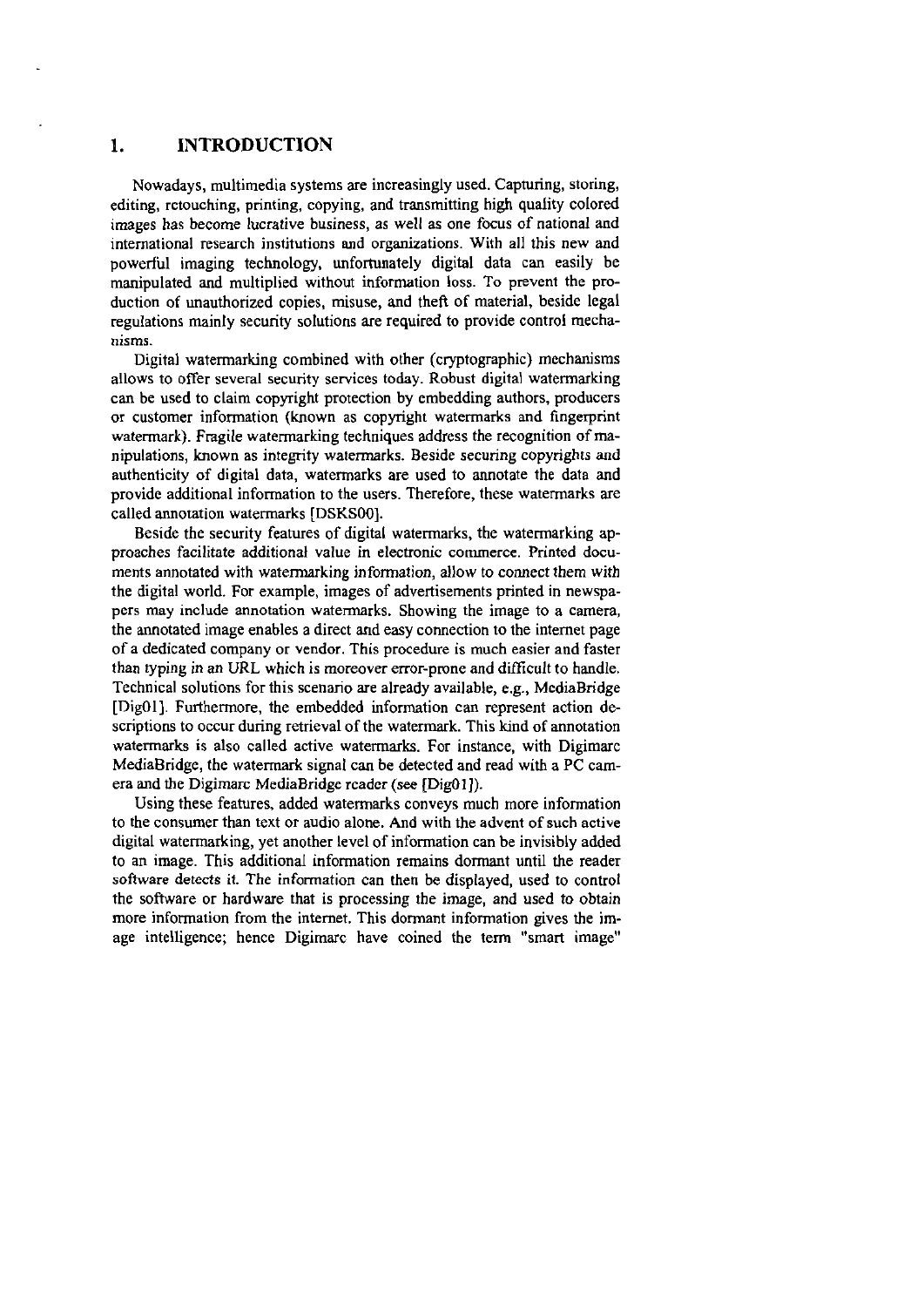#### **1. INTRODUCTION**

Nowadays, multimedia Systems are increasingly used. Capturing, storing, editing. rctouching, printing, copying, and transmitting high quality colored images has become lucrative business, as well as one focus of national and international research institutions and organizations. With all this new and powerful imaging technology, unfortunately digital data can easily be manipulated and multiplied without information loss. To prevent the production of unauthorized copies, misuse, and theft of material, beside legal regulations mainly security solutions are required to provide control mechanisms.

Digital watermarking combined with other (cryptographic) mechanisms allows to offer several security services today. Robust digital watermarking can be used to claim copyright protection by embedding authors, producers or customer information (known as copyright watemarks and fingerprint watermark). Fragile watermarking techniques address the recognition of manipulations, known as integrity watermarks. Beside securing copyrights and authenticity of digital data, watermarks are used to annotate the data and provide additional infomation to the users. Therefore, these watermarks are called annotation watemarks [DSKSOO].

Beside the security features of digital watermarks, the watermarking approaches facilitate additional value in electronic commerce. Printed documents annotated with watermarking information, allow to connect them with the digital world. For example, images of advertisements printed in newspapcrs may include annotation watermarks. Showing the image to a camera, the annotated image enables a direct and easy connection to the intemet Page of a dedicated company or vendor. This procedure is much easier and fastet than typing in an URL which is moreover error-prone and difficult to handle. Technical solutions for this scenario are already available, e.g., McdiaBridge [DigOl]. Furthemore, the embedded information can represent action descriptions to occur during retrieval of the watermark. This kind of annotation watermarks is also called active watermarks. For instance, with Digimarc MediaBridge, the watermark signal can be detected and read with a PC camera and the Digimarc MediaBndge rcadcr **(see** [DigOl]).

Using these features, added watermarks conveys much more infomation to the consumer than text or audio alone. And with the advent of such active digital watemrking, yet another level of information can be invisibly added to an image. This additional information remains dormant until the reader software detects it. The information can then be displayed, used to control the software or hardware that is processing the image, and used to obtain more information from the intemet. This dormant information gives the image intelligence; hence Digimarc have coined ihe term "smart image"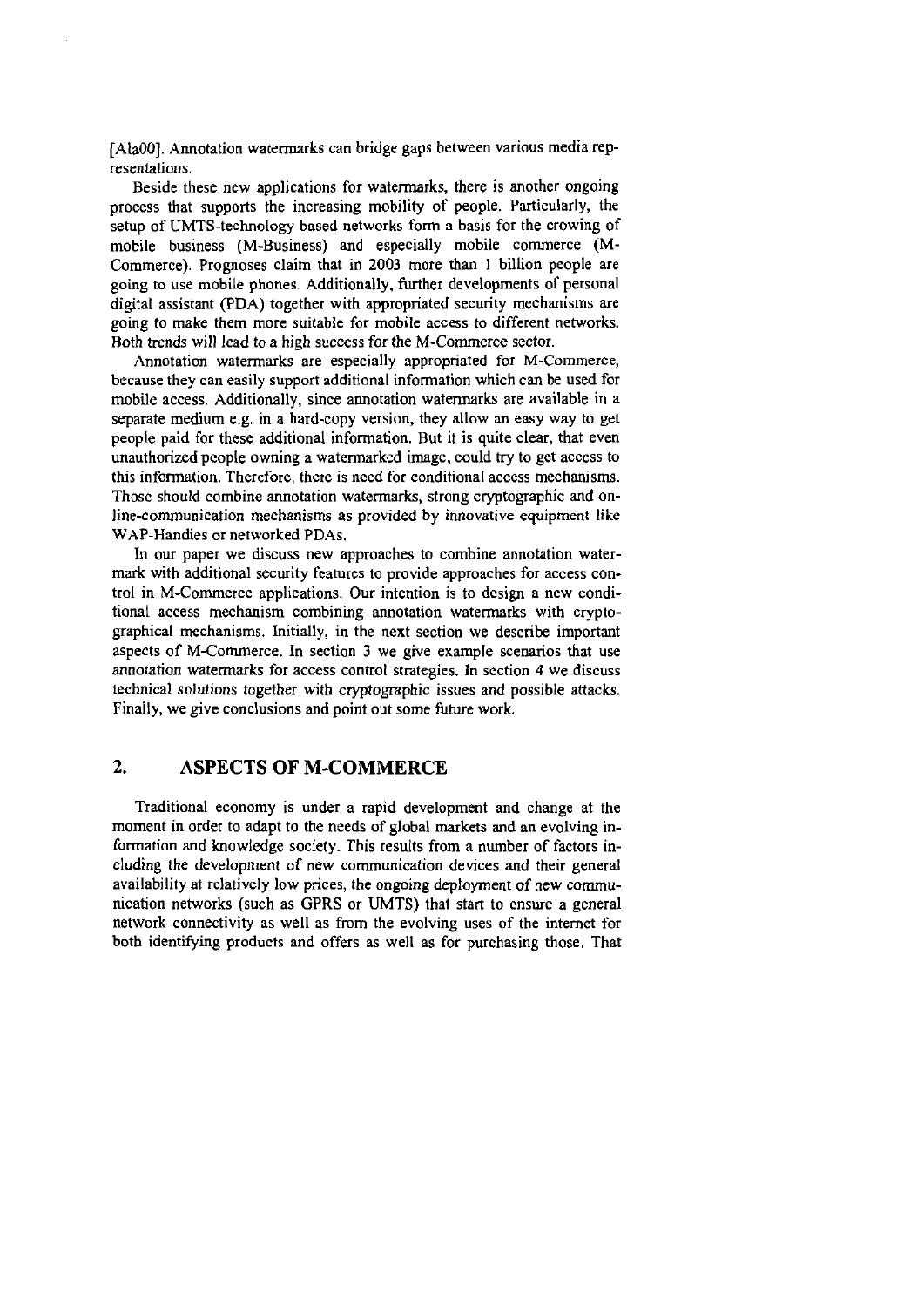[Ala00]. Annotation watermarks can bridge gaps between various media representations.

Beside these new applications for watermarks, there is another ongoing process that supports the increasing mobility of people. Particularly, the setup of UMTS-technology based networks form a hasis for the crowing of mobile business (M-Business) and especially mobile commerce (M-Commerce). Prognoses claim that in 2003 more than 1 billion people are going to use mobile phones. Additionally, further developments of personal digital assistant (PDA) together with appropriated security mechanisms are going to make them more suitable for mobile access to different networks. Both trends will lead to a high success for the M-Commerce sector.

Annotation watermarks are especially appropriated for M-Commerce, because they can easily support additional information which can be used for mobile access. Additionally, since annotation watennarks are available in a separate medium e.g. in a hard-copy version, they allow an easy way to get people paid for these additional information. But it is quite clear, that even unauthorized people owning a watennarked image, could **try** to get access to this information. Therefore. there is need for conditional access mechanisms. Thosc should combine annotation watermarks, strong cryptographic and online-communication mechanisms as provided by innovative equipment like WAP-Handies or networked PDAs.

In our paper we discuss new approaches to combine annotation watermark with additional security features to provide approaches for access control in M-Commerce applications. Our intention is to design a new conditional access mechanism combining amotation watermarks with cryptographical mechanisms. Initially, in the next section we descnbe important aspects of M-Commerce. In section 3 we give example scenarios that use annotation watermarks for access control strategies. In section 4 we discuss technical solutions together with cryptographic issues and possible attacks. Finally, we give conclusions and point out some future work.

# **2. ASPECTS OF M-COMMERCE**

Traditional economy is under a rapid development and change at the moment in order to adapt to the needs of global markets and an evolving information and knowledge society. This results from a number of factors including the development of new communication devices and their general availability at relatively low prices, the ongoing deployment of new communication networks (such as GPRS or UMTS) that Start to ensure a general network connectivity as well as from the evolving uses of the internet for both identifying products and offers as well as for purchasing those. That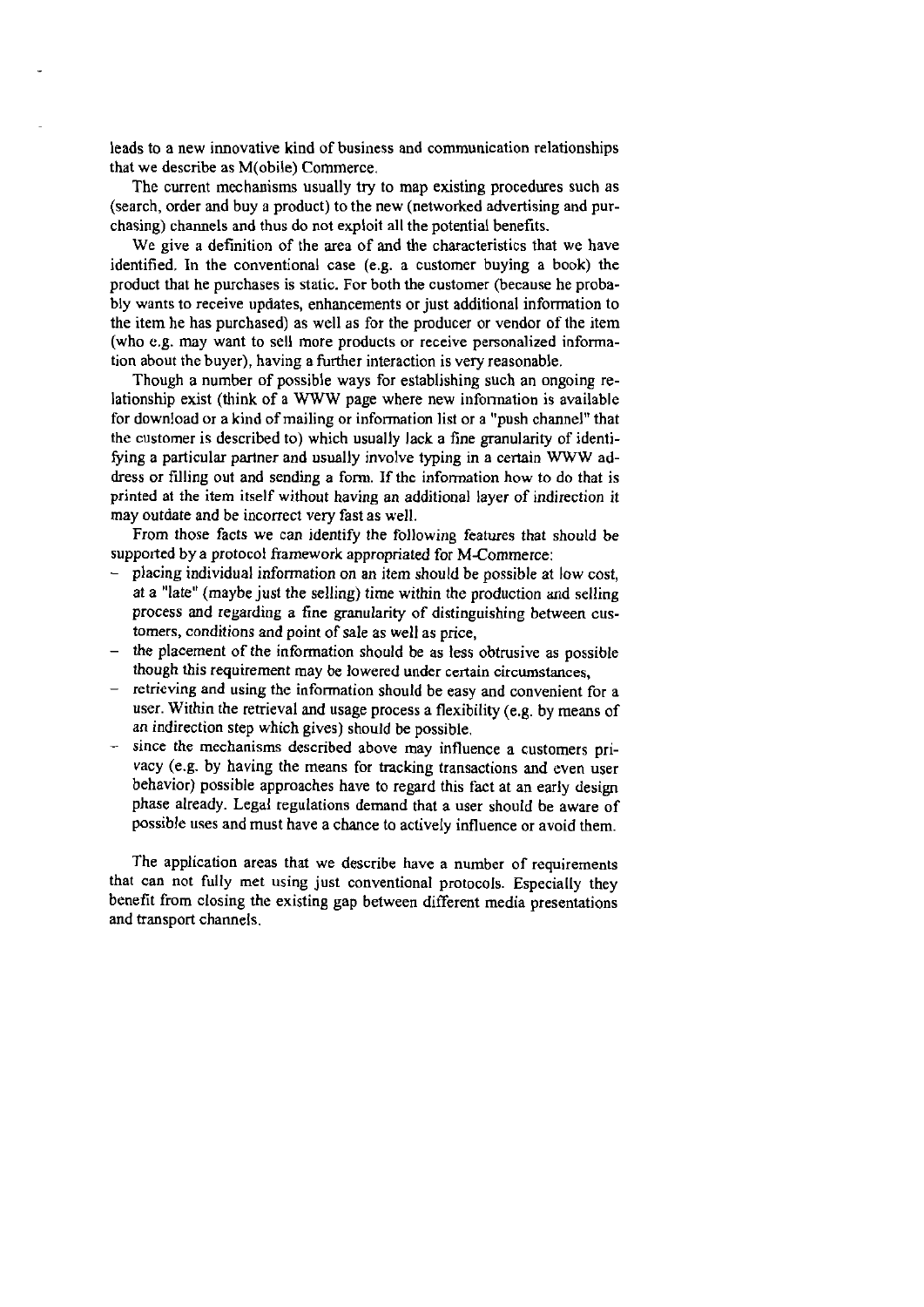leads to a new innovative kind of business and communication relationships that we describe as M(obile) Commerce.

The current mechanisms usually try to map existing procedures such as (search, order and buy a product) to the new (networked advertising and purchasing) channels and thus do not exploit all the potential benefits.

We give a definition of the area of and the characteristics that we have identified. In the conventional case (e.g. a customer buying a book) the product that he purchases is static. For both the customer (because he probably wants to receive updates, enhancements or just additional information to the item he has purchased) as well as for the producer or vendor of the item (who e.g. may want to sell more products or receive personalized infomation about the buyer), having a further interaction is very reasonable.

Though a number of possible ways for establishing such an ongoing relationship exist (think of a WWW page where new information is available for download or a kind of mailing or information list or a "push channel" that the customer is described to) which usually lack a fine granularity of identifying a particular partner and usually involve typing in a certain WWW address or filling out and sending a form. If the information how to do that is printed at the item itself without having an additional layer of indirection it may outdate and be incorrect very fast as well.

From those facts we can identify the following features that should be supported by a protocol framework appropriated for M-Commerce:

- placing individual information on an item should be possible at low cost, at a "late" (maybe just the selling) time within the production and selling process and regarding a fine granularity of distinguishing between customers, conditions and point of sale as well as price,
- the placement of the information should be as less obtrusive as possible though this requirement may be lowered under certain circumstances,
- retrieving and using the information should be easy and convenient for a user. Within the retrieval and usage process a flexibility (e.g. by means of an indirection step which gives) should be possible.
- since the mechanisms described above may influence a customers privacy (e.g. by having the means for tracking transactions and even user behavior) possible approaches have to regard this fact at an early design phase already. Legal regulations demand that a user should be aware of possible uses and must have a chance to actively influence or avoid them.

The application areas that we describe have a number of requirements that can not fully met using just conventional protocols. Especially they benefit from closing the existing gap between different media presentations and transport channels.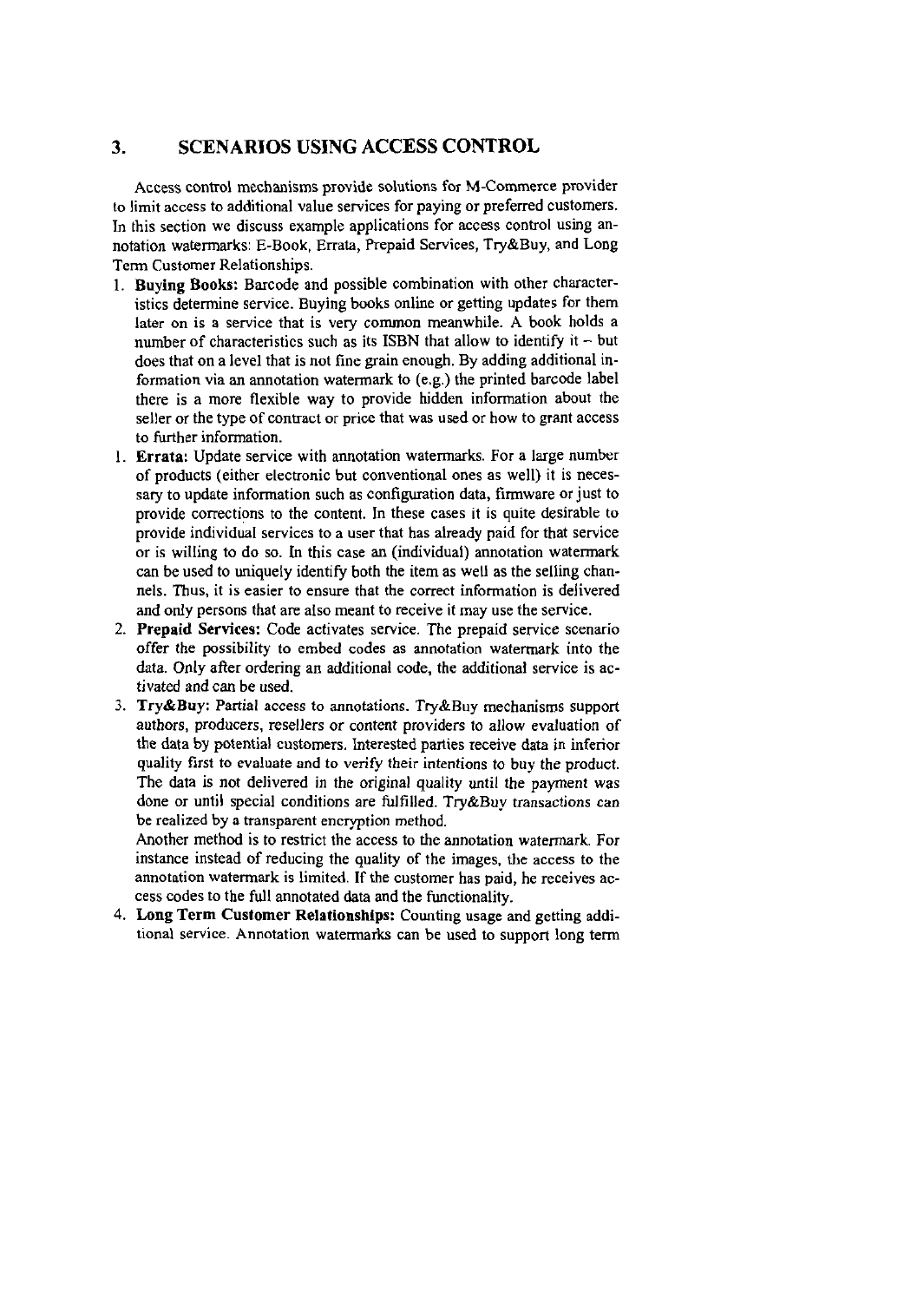#### **3. SCENARJOS USJNG ACCESS CONTROL**

Access control mechanisms provide solutions for M-Commerce provider to limit access to additional value services for paying or preferred customers. In this section we discuss example applications for access control using annotation watenarks: E-Book, Errata, Prepaid Services, Try&Buy, and Long Term Customer Relationships.

- 1. Buying Books: Barcode and possible combination with other characteristics detemine service. Buying books online or getting updates for them later on is a service that is very common meanwhile. A book holds a number of characteristics such as its ISBN that allow to identify it  $-$  but does that on a level that is not fine grain enough. By adding additional information via an annotation watemark to (e.g.) the printed barcode label there is a more flexible way to provide hidden information about the seller or the type of contract or price that was used or how to grant access to further information.
- I. Errata: Update service with annotation watenarks. For a large number of products (either electronic but conventional ones as well) it is necessary to update infomation such as configuration data, fimware or just to provide corrections to the content. In these cases it is quite desirable to provide individual services to a user that has already paid for that service or is willing to do so. In this case an (individual) annotation watemark can be used to uniquely identify both the item as well as the selling channels. Thus, it is easier to ensure that the correct infomation is delivered and only persons that are also meant to receive it may use the service.
- 2. Prepaid Services: Code activates service. The prepaid service scenario offer the possibility to embed codes as annotation watermark into the data. Only afier ordering an additional code, the additional service is activated and can be used.
- 3. Try&Buy: Partial access to annotations. Try&Buy mechanisms support authors, producers, resellers or content providers to allow evaluation of the data by potential customers. lnterested parties receive data in inferior quality first to evaluate and to venfy their intentions to buy the product. The data is not delivered in the original quality until the payment was done or until special conditions are fulfilled. Try&Buy transactions can be realized by **a** transparent encryption method.

Another method is to restrict the access to the annotation watermark. For instance instead of reducing the quality of the images, the access to the annotation watermark is limited. If the customer has paid, he receives access codes to the füll annotated data and the functionality.

4. Eong Term Customer Relationships: Counting usage and getting additional service. Annotation watermarks can be used to support long term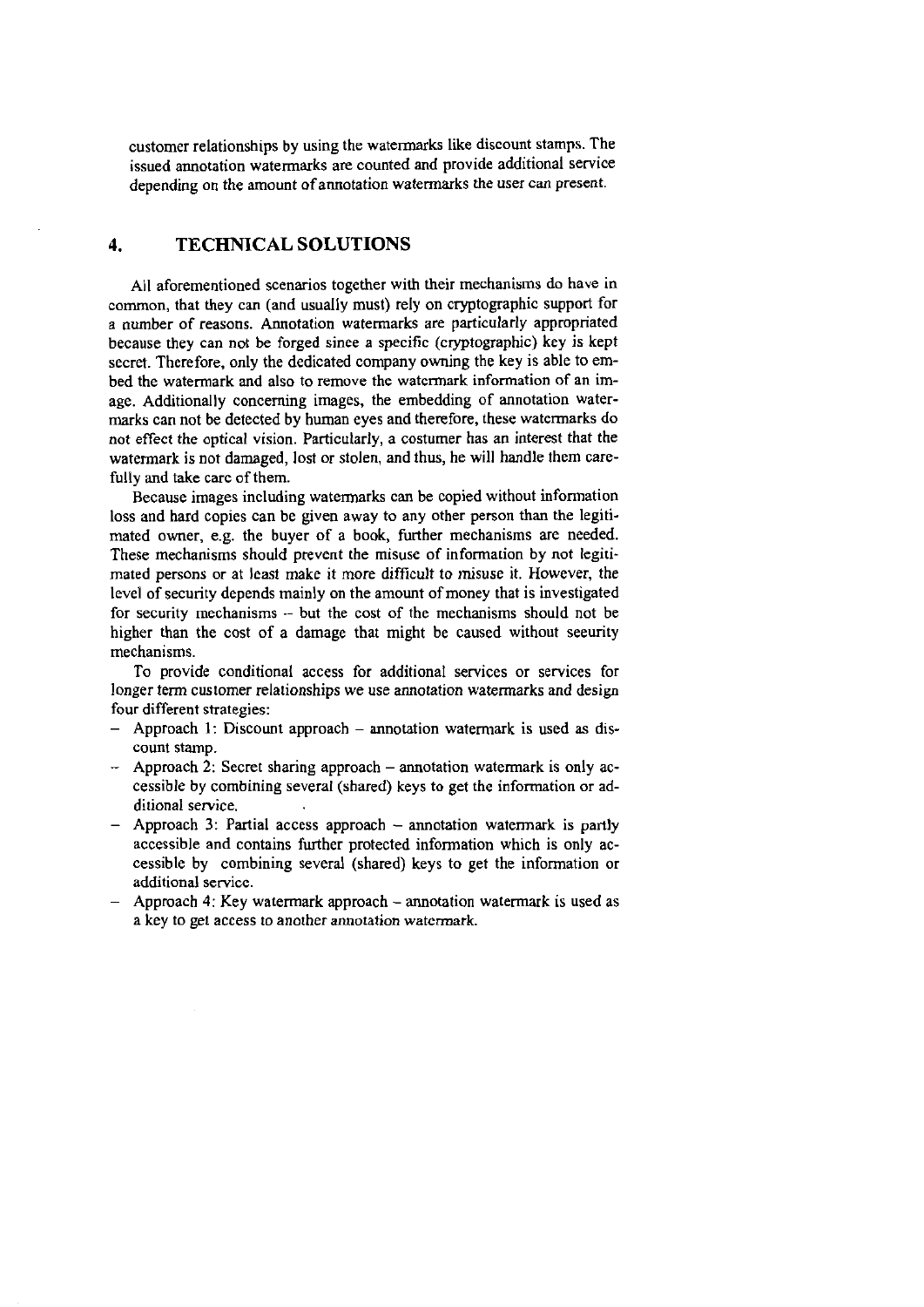customer relationships by using the watermarks like discount stamps. The issued annotation watermarks are counted and provide additional service depending on the amount of annotation watermarks the user can present.

#### **4. TECHNICAL SOLUTIONS**

All aforementioned scenarios together with their mechanisms do have in common, that they can (and usually must) rely on cryptographic support for a number of reasons. Annotation watermarks are particularly appropriated because they can not be forged sinee a specific (cryptographic) key is kept secret. Therefore, only the dedicated company owning the key is able to embed the watermark and also to remove the watcrmark information of an image. Additionally conceming images, the embedding of annotation watermarks can not be detected by human eyes and therefore, these watermarks do not effect the optical vision. Particularly, a costumer has an interest that the watermark is not damaged, lost or stolen, and thus, he will handle them carefully and take carc of them.

Because images including watennarks can be copied without information loss and hard copies can be given away to any other person than the legitimated owner, e.g. the buyer of a book, further mechanisms are needed. These mechanisms should prevent the misuse of information by not legitimated persons or at least make it more difficult to misuse it. However, the level of security depends mainly on the amount of money that is investigated for security mechanisms - but the cost of the mechanisms should not be higher than the cost of a damage that might be caused without seeurity mechanisms.

To provide conditional access for additional services or services for longer term customer relationships we use annotation watermarks and design four different strategies:

- Approach 1: Discount approach annotation watermark is used **as** discount stamp.
- Approach 2: Secret sharing approach annotation watermark is only accessible by combining several (shared) keys to get the information or additional service.
- Approach 3: Partial access approach annotation watermark is partly accessible and contains further protected information which is only accessible by combining severai (shared) kcys to get the information or additional servicc.
- Approach 4: Key watermark approach  $-$  annotation watermark is used as a key to get access to another annotation watcrmark.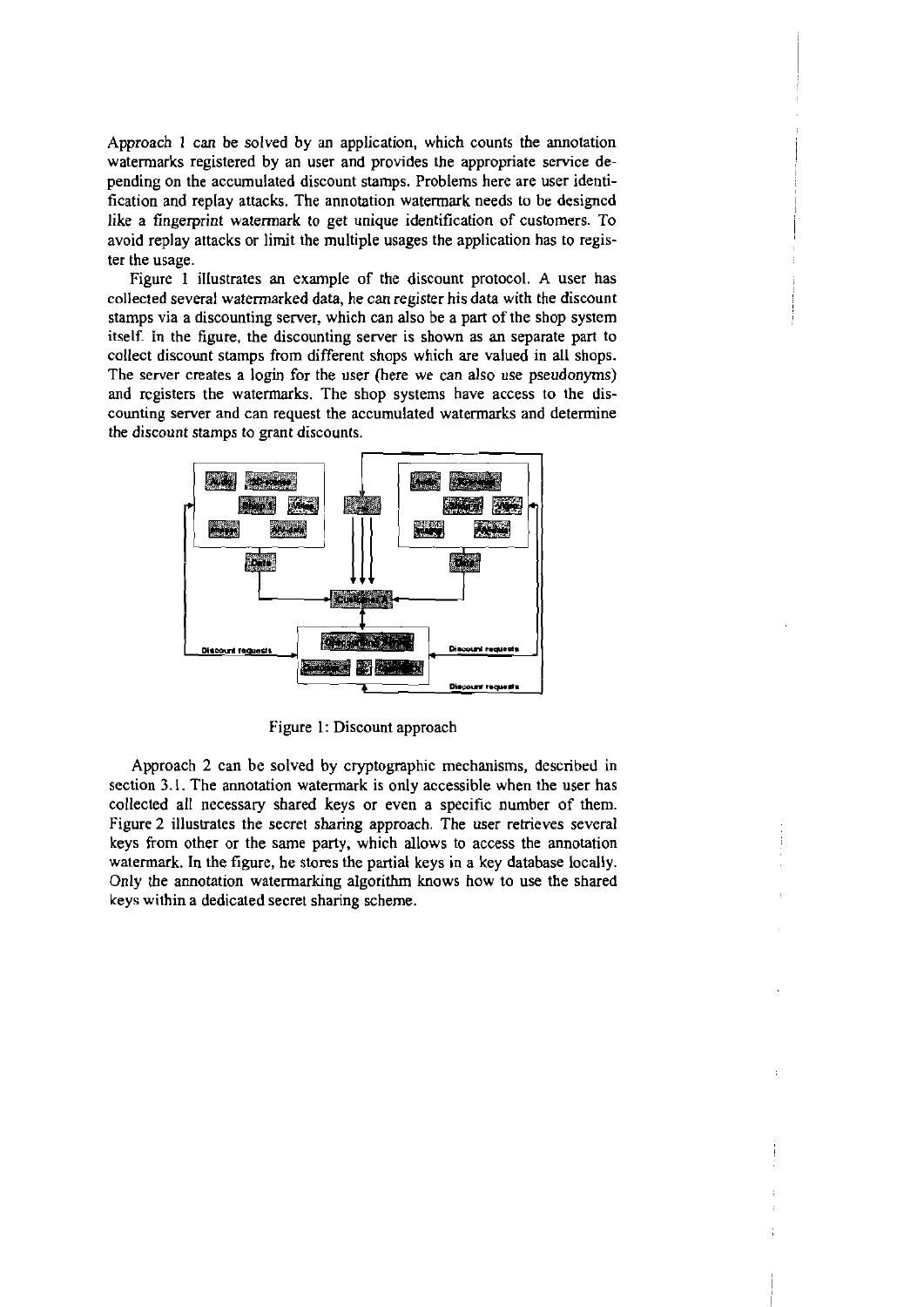Approach 1 can *be* solved by an application, which Counts the annotation watermarks registered by an user and provides the appropriate service depending on the accumulated discount stamps. Problems here are user identification and replay attacks. The annotation watemark needs to be designcd like a fingerprint watemark to get unique identification of customers. To avoid replay attacks or limit the multiple usages the application has to register the usage.

Figure 1 illustrates an example of the discount protocol. A user has collected several watermarked data, he can register his data with the discount stamps via a discounting server, which can also be a part of the shop system itself. In the figure, the discounting server is shown as an separate part to collect discount stamps from different shops which are valued in all shops. The server creates a login for the user (here we can also use pseudonyms) and registers the watermarks. The shop systems have access to the discounting server and can request the accumulated watermarks and determine the discount stamps to grant discounis.



Figure 1: Discount approach

Approach 2 can be solved by cryptographic mechanisms, described in section 3.1. The annotation watermark is only accessible when the user has collected all necessaty shared keys or even a specific number of them. Figure 2 illustrates the secret sharing approach. The user retrieves several keys from other or the same party, which allows to access the annotation watermark. In the figure, he stores the partial keys in a key database locally. Only the annotation watermarking algorithm knows how to use the shared keys within a dedicated secret sharing scheme.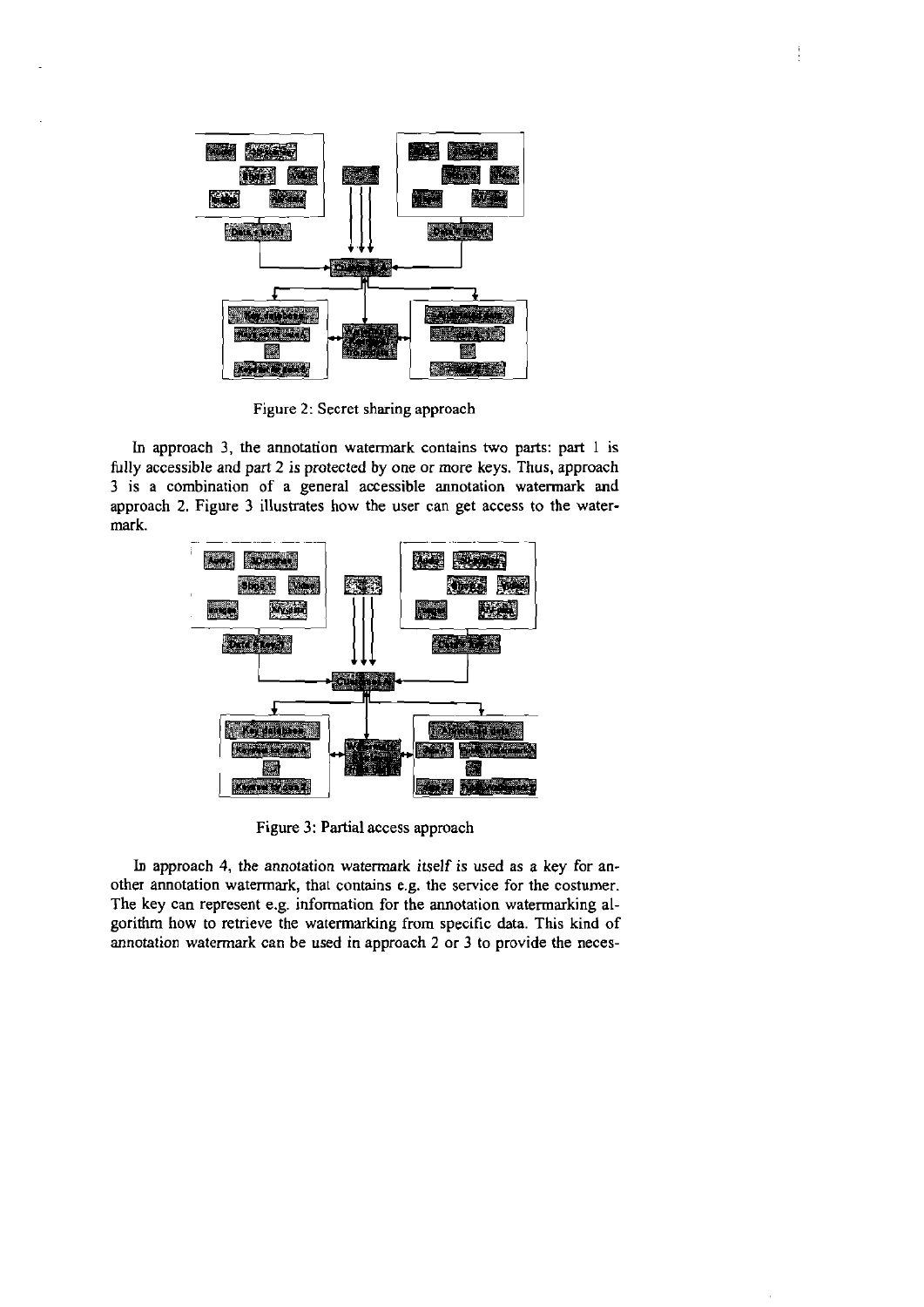

Figure 2: Secret sharing approach

In approach 3, the annotation watermark contains two parts: part  $1$  is fully accessible and part 2 is protected by one or more keys. Thus, approach 3 is a combination of a general accessible annotation watermark and approach 2. Figure 3 illustrates how the user can get access to the water-mark. mark. - -~ 7 ,-.P ~ 7



Figure 3: Partial access approach

In approach 4, the annotation watermark itself is used as a key for another amotation waterrnark, that contains e.g. the service for the costumer. The key can represent e.g. infomation for the annotation waterrnarking algorithm how to retrieve the watermarking from specific **data.** This kind of annotation watemark can be used in approach 2 or 3 to provide the neces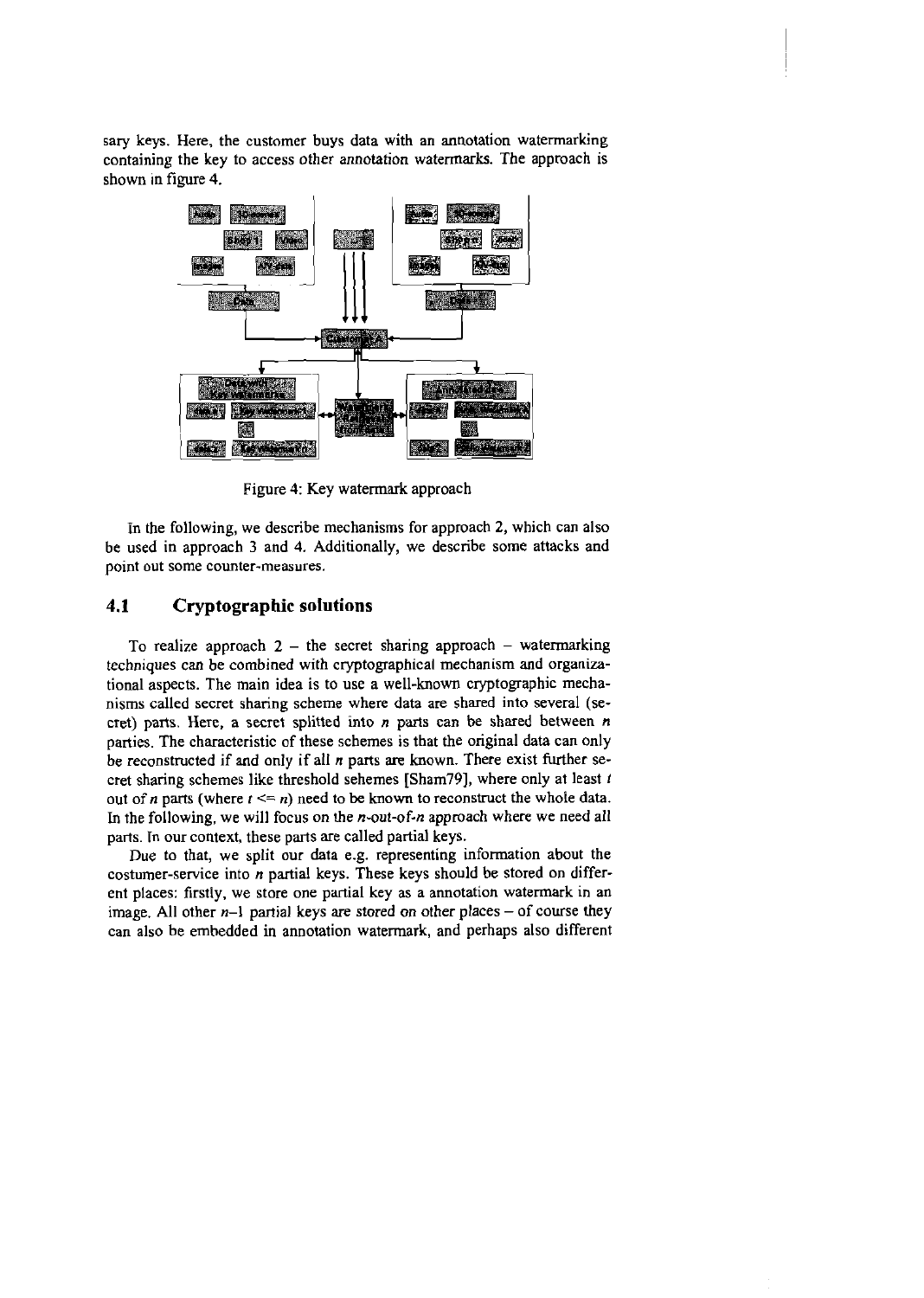sary keys. Here, the customer buys data with an annotation watermarking containing the key to access other annotation watermarks. The approach is shown in figure 4.



Figure 4: Key watermark approach

In the following, we describe mechanisms for approach 2, which can also be used in approach 3 and 4. Additionally, we describe some attacks and point out some counter-measures.

#### **4.1 Cryptographic solutions**

To realize approach  $2 -$  the secret sharing approach  $-$  watermarking techniques can be combined with cryptographical mechanism and organizational aspects. The main idea is to use a well-known cryptographic mechanisms called secret sharing scheme where data are shared into several (secret) parts. Here, a secret splitted into  $n$  parts can be shared between  $n$ parties. The characteristic of these schemes is that the original data can only be reconstmcted if and only if all **n** parts **are** known. There exist further secret sharing schemes like threshold sehemes [Sham79], where only at least *t* out of *n* parts (where  $t \le n$ ) need to be known to reconstruct the whole data. In the following, we will focus on the  $n$ -out-of-n approach where we need all parts. In our context, these parts are called partial keys.

Due to that, we split our data e.g. representing information about the costumer-service into  $n$  partial keys. These keys should be stored on different places: firstly, we store one partial key as a annotation watermark in an image. All other  $n-1$  partial keys are stored on other places – of course they can also be emhedded in annotation watermark, and perhaps also different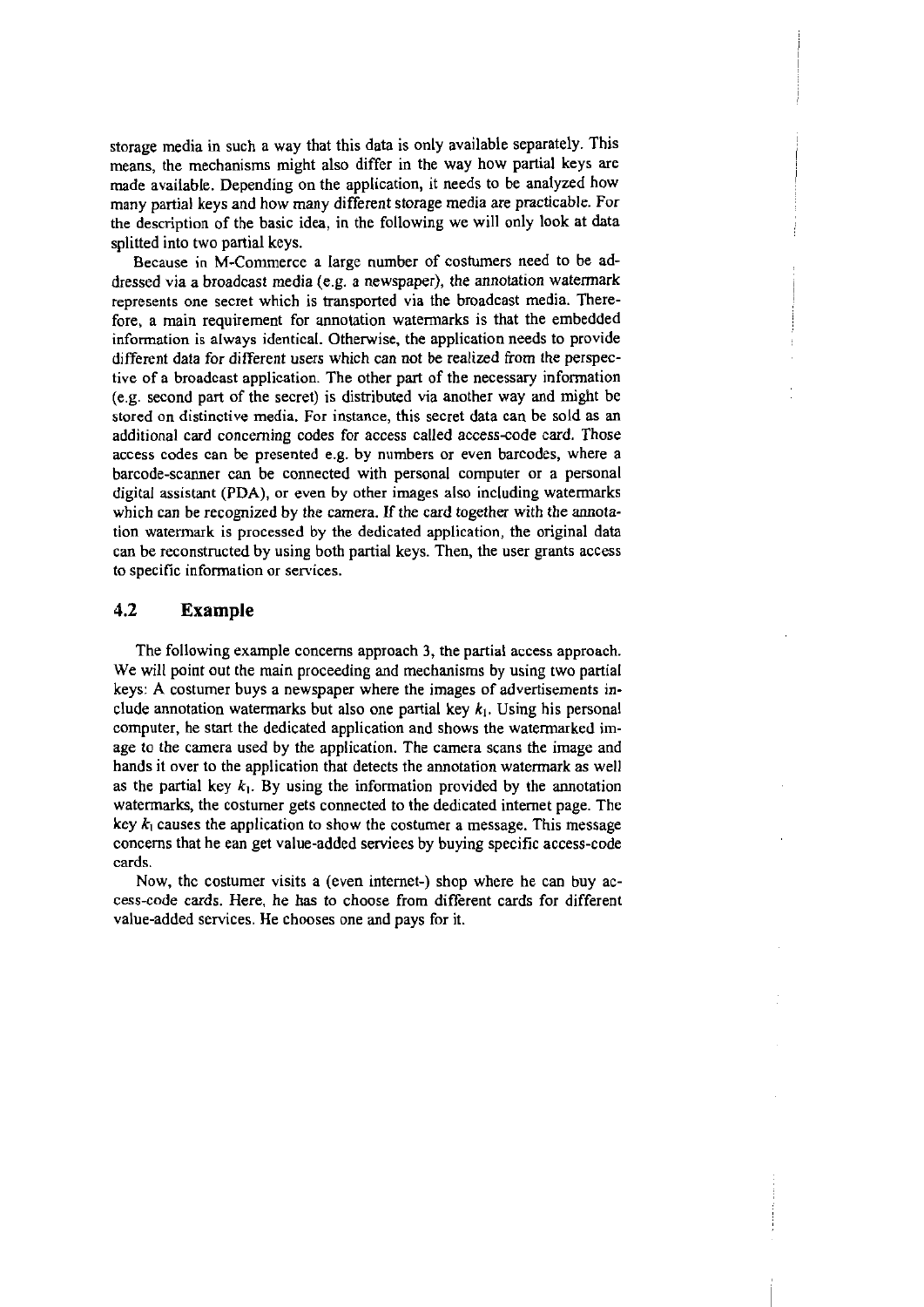storage media in such a way that this data is only available separately. This means, the mechanisms might also differ in the way how partial keys are made available. Depending on the application, it needs to be analyzed how many partial keys and how many different storage media are practicable. For the description of the basic idea, in the following we will only look at data splitted into two partial keys.

Because in M-Commerce a large number of costwners need to be addressed via a broadcast media (e.g. a newspaper), the annotation watermark represents one secret which is transported via the broadcast media. Therefore, a main requirement for annotation watermarks is that the embedded information is always identical. Otherwise, the application needs to provide different data for different users which can not **be** realized from the perspective of a broadcast application. The other part of the necessary information (e.g. second Part of the secret) is distributed via another way and might be stored on distinctive media. For instance, this secret data can be sold as an additional card concerning codes for access called access-code card. Those access codes can **be** presented e.g. by numbers or even barcodes, where a barcode-scanner **can** be connected with personal computer or a personal digital assistant (PDA), or even by other images also including watermarks which can be recognized by the camera. **If** the card together with the annotation watermark is processed by the dedicated application, the original data can be reconstructed by using both partial keys. Then, the user grants access to specific information or services.

#### **4.2 Example**

The following example concems approach 3, the partial access approach. We will point out the main proceeding and mechanisms by using two partial keys: A costumer buys a newspaper where the images of advertisements include annotation watermarks but also one partial key  $k_1$ . Using his personal computer, he Start the dedicated application and shows the watemmked image to the camera used by the application. The camera scans the image and hands it over to the application that detects the annotation watermark as well as the partial key  $k_1$ . By using the information provided by the annotation watermarks, the costumer gets connected to the dedicated internet page. The key  $k_1$  causes the application to show the costumer a message. This message concerns that he ean get value-added serviees by buying specific access-code cards.

Now, thc costumer visits a (even intemet-) shop where he can buy access-code cards. Here, he has to choose from different cards for different value-added services. He chooses one and pays for it.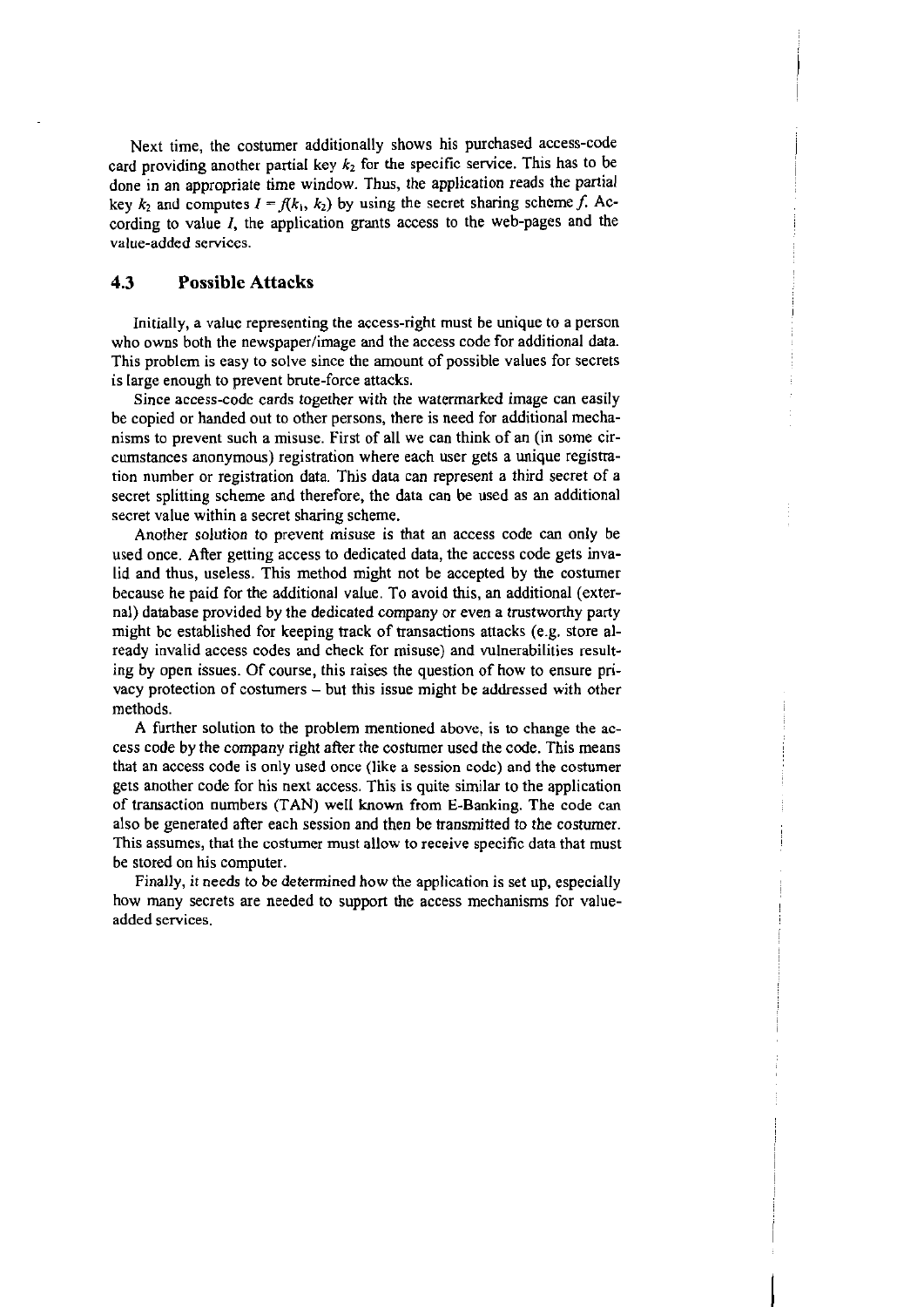Next time, the costumer additionally shows his purchased access-code card providing another partial key  $k_2$  for the specific service. This has to be done in an appropriate time window. Thus, the application reads the partial key  $k_2$  and computes  $I = f(k_1, k_2)$  by using the secret sharing scheme f. According to value I, the application grants access to the web-pages and the value-added services.

#### **4.3 Possible Attacks**

Initially, a value representing the access-right must be unique to a person who owns both the newspaper/image and the access code for additional data. This problem is easy to solve since the amount of possible values for secrets is large enough to prevent brute-force attacks.

Since access-codc cards together with the watermarked image can easily be copied or handed out to other persons, there is need for additional mechanisms to prevent such a misuse. First of all we can think of an (in some circumstances anonymous) registration where each User gets a unique registration number or registration data. This data can represent a third secret of a secret splitting scheme and therefore, the data can be used as an additional secret value within a secret sharing scheme.

Another solution to prevent misuse is that an access code can only be used once. Afier getting access to dedicated data, the access code gets invalid and thus, useless. This method might not be accepted by the costumer because he paid for the additional value. To avoid this, an additional (external) database provided by the dedicated company or even a trustworthy party might bc established for keeping track of transactions attacks (e.g. store already invalid access codes and check for misuse) and vulnerabilities resulting by Open issues. Of Course, this raises the question of how to ensure privacy protection of costumers - but this issue might be addressed with other methods.

A further solution to the problem mentioned above, is to change the access code by the company right afier the costumer used the code. This means that an access code is only used once (like a session code) and the costumer gets another code for his next access. This is quite similar to the application of transaction numbers (TAN) well known from E-Banking. The code can also be generated afier each session and then be transmitted to the costumer. This assumes, that the costumer must allow to receive specific data that must be stored on his Computer.

Finally, it needs to be determined how the application is set up, especially how many secrets are needed to support the access mechanisms for valueadded services.